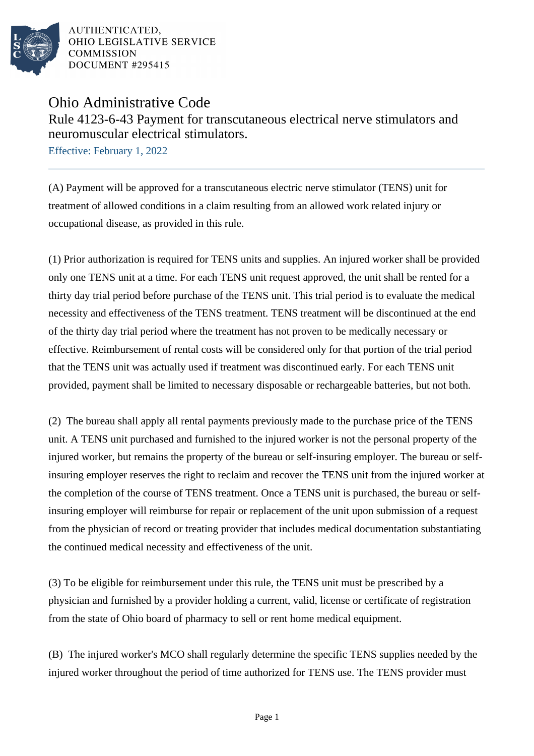

AUTHENTICATED. OHIO LEGISLATIVE SERVICE **COMMISSION** DOCUMENT #295415

## Ohio Administrative Code

Rule 4123-6-43 Payment for transcutaneous electrical nerve stimulators and neuromuscular electrical stimulators.

Effective: February 1, 2022

(A) Payment will be approved for a transcutaneous electric nerve stimulator (TENS) unit for treatment of allowed conditions in a claim resulting from an allowed work related injury or occupational disease, as provided in this rule.

(1) Prior authorization is required for TENS units and supplies. An injured worker shall be provided only one TENS unit at a time. For each TENS unit request approved, the unit shall be rented for a thirty day trial period before purchase of the TENS unit. This trial period is to evaluate the medical necessity and effectiveness of the TENS treatment. TENS treatment will be discontinued at the end of the thirty day trial period where the treatment has not proven to be medically necessary or effective. Reimbursement of rental costs will be considered only for that portion of the trial period that the TENS unit was actually used if treatment was discontinued early. For each TENS unit provided, payment shall be limited to necessary disposable or rechargeable batteries, but not both.

(2) The bureau shall apply all rental payments previously made to the purchase price of the TENS unit. A TENS unit purchased and furnished to the injured worker is not the personal property of the injured worker, but remains the property of the bureau or self-insuring employer. The bureau or selfinsuring employer reserves the right to reclaim and recover the TENS unit from the injured worker at the completion of the course of TENS treatment. Once a TENS unit is purchased, the bureau or selfinsuring employer will reimburse for repair or replacement of the unit upon submission of a request from the physician of record or treating provider that includes medical documentation substantiating the continued medical necessity and effectiveness of the unit.

(3) To be eligible for reimbursement under this rule, the TENS unit must be prescribed by a physician and furnished by a provider holding a current, valid, license or certificate of registration from the state of Ohio board of pharmacy to sell or rent home medical equipment.

(B) The injured worker's MCO shall regularly determine the specific TENS supplies needed by the injured worker throughout the period of time authorized for TENS use. The TENS provider must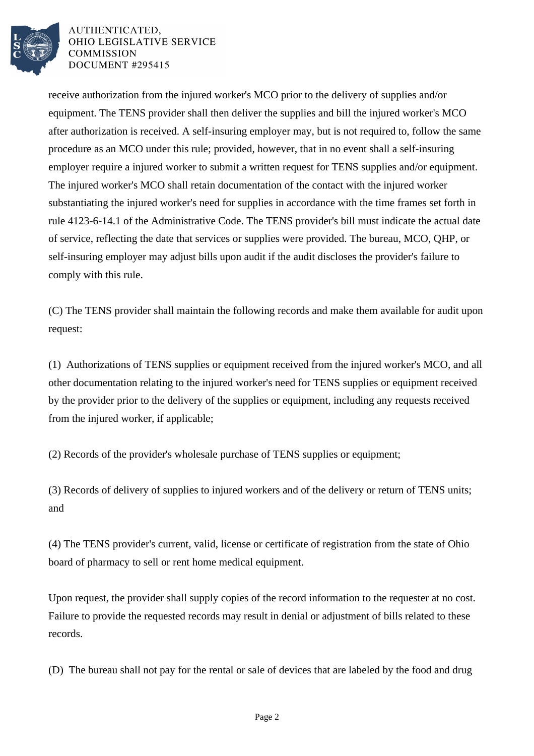

AUTHENTICATED. OHIO LEGISLATIVE SERVICE **COMMISSION** DOCUMENT #295415

receive authorization from the injured worker's MCO prior to the delivery of supplies and/or equipment. The TENS provider shall then deliver the supplies and bill the injured worker's MCO after authorization is received. A self-insuring employer may, but is not required to, follow the same procedure as an MCO under this rule; provided, however, that in no event shall a self-insuring employer require a injured worker to submit a written request for TENS supplies and/or equipment. The injured worker's MCO shall retain documentation of the contact with the injured worker substantiating the injured worker's need for supplies in accordance with the time frames set forth in rule 4123-6-14.1 of the Administrative Code. The TENS provider's bill must indicate the actual date of service, reflecting the date that services or supplies were provided. The bureau, MCO, QHP, or self-insuring employer may adjust bills upon audit if the audit discloses the provider's failure to comply with this rule.

(C) The TENS provider shall maintain the following records and make them available for audit upon request:

(1) Authorizations of TENS supplies or equipment received from the injured worker's MCO, and all other documentation relating to the injured worker's need for TENS supplies or equipment received by the provider prior to the delivery of the supplies or equipment, including any requests received from the injured worker, if applicable;

(2) Records of the provider's wholesale purchase of TENS supplies or equipment;

(3) Records of delivery of supplies to injured workers and of the delivery or return of TENS units; and

(4) The TENS provider's current, valid, license or certificate of registration from the state of Ohio board of pharmacy to sell or rent home medical equipment.

Upon request, the provider shall supply copies of the record information to the requester at no cost. Failure to provide the requested records may result in denial or adjustment of bills related to these records.

(D) The bureau shall not pay for the rental or sale of devices that are labeled by the food and drug